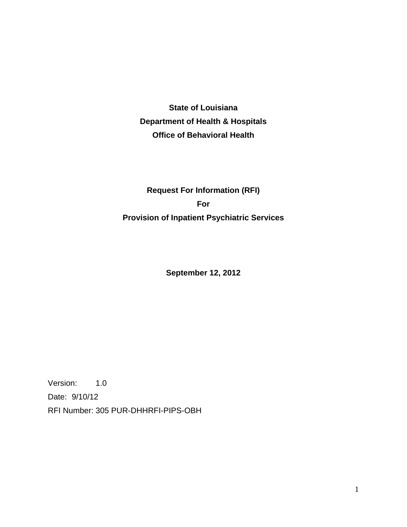**State of Louisiana Department of Health & Hospitals Office of Behavioral Health** 

# **Request For Information (RFI) For Provision of Inpatient Psychiatric Services**

**September 12, 2012** 

Version: 1.0 Date: 9/10/12 RFI Number: 305 PUR-DHHRFI-PIPS-OBH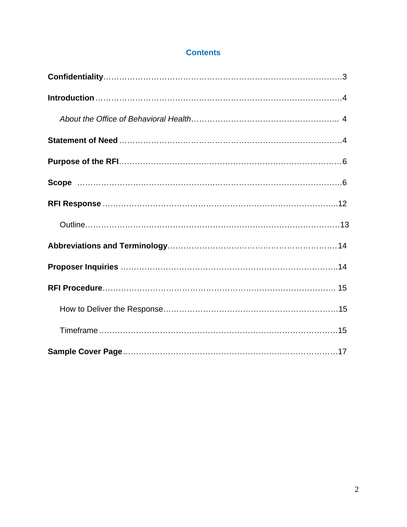## **Contents**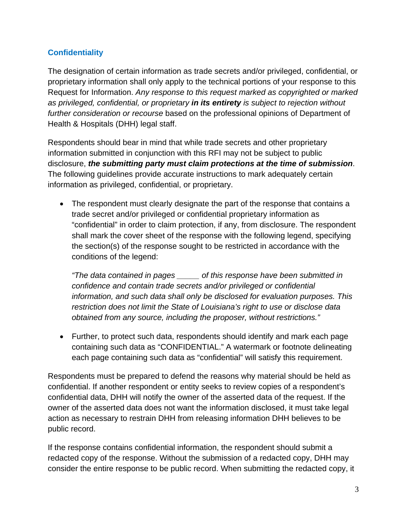## **Confidentiality**

The designation of certain information as trade secrets and/or privileged, confidential, or proprietary information shall only apply to the technical portions of your response to this Request for Information. *Any response to this request marked as copyrighted or marked as privileged, confidential, or proprietary in its entirety is subject to rejection without further consideration or recourse* based on the professional opinions of Department of Health & Hospitals (DHH) legal staff.

Respondents should bear in mind that while trade secrets and other proprietary information submitted in conjunction with this RFI may not be subject to public disclosure, *the submitting party must claim protections at the time of submission*. The following guidelines provide accurate instructions to mark adequately certain information as privileged, confidential, or proprietary.

 The respondent must clearly designate the part of the response that contains a trade secret and/or privileged or confidential proprietary information as "confidential" in order to claim protection, if any, from disclosure. The respondent shall mark the cover sheet of the response with the following legend, specifying the section(s) of the response sought to be restricted in accordance with the conditions of the legend:

*"The data contained in pages \_\_\_\_\_ of this response have been submitted in confidence and contain trade secrets and/or privileged or confidential information, and such data shall only be disclosed for evaluation purposes. This restriction does not limit the State of Louisiana's right to use or disclose data obtained from any source, including the proposer, without restrictions."* 

 Further, to protect such data, respondents should identify and mark each page containing such data as "CONFIDENTIAL." A watermark or footnote delineating each page containing such data as "confidential" will satisfy this requirement.

Respondents must be prepared to defend the reasons why material should be held as confidential. If another respondent or entity seeks to review copies of a respondent's confidential data, DHH will notify the owner of the asserted data of the request. If the owner of the asserted data does not want the information disclosed, it must take legal action as necessary to restrain DHH from releasing information DHH believes to be public record.

If the response contains confidential information, the respondent should submit a redacted copy of the response. Without the submission of a redacted copy, DHH may consider the entire response to be public record. When submitting the redacted copy, it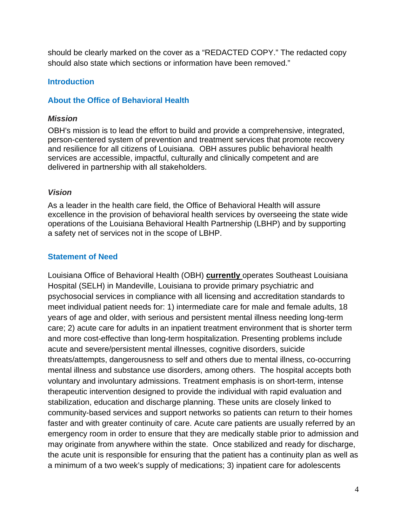should be clearly marked on the cover as a "REDACTED COPY." The redacted copy should also state which sections or information have been removed."

#### **Introduction**

#### **About the Office of Behavioral Health**

#### *Mission*

OBH's mission is to lead the effort to build and provide a comprehensive, integrated, person-centered system of prevention and treatment services that promote recovery and resilience for all citizens of Louisiana. OBH assures public behavioral health services are accessible, impactful, culturally and clinically competent and are delivered in partnership with all stakeholders.

#### *Vision*

As a leader in the health care field, the Office of Behavioral Health will assure excellence in the provision of behavioral health services by overseeing the state wide operations of the Louisiana Behavioral Health Partnership (LBHP) and by supporting a safety net of services not in the scope of LBHP.

### **Statement of Need**

Louisiana Office of Behavioral Health (OBH) **currently** operates Southeast Louisiana Hospital (SELH) in Mandeville, Louisiana to provide primary psychiatric and psychosocial services in compliance with all licensing and accreditation standards to meet individual patient needs for: 1) intermediate care for male and female adults, 18 years of age and older, with serious and persistent mental illness needing long-term care; 2) acute care for adults in an inpatient treatment environment that is shorter term and more cost-effective than long-term hospitalization. Presenting problems include acute and severe/persistent mental illnesses, cognitive disorders, suicide threats/attempts, dangerousness to self and others due to mental illness, co-occurring mental illness and substance use disorders, among others. The hospital accepts both voluntary and involuntary admissions. Treatment emphasis is on short-term, intense therapeutic intervention designed to provide the individual with rapid evaluation and stabilization, education and discharge planning. These units are closely linked to community-based services and support networks so patients can return to their homes faster and with greater continuity of care. Acute care patients are usually referred by an emergency room in order to ensure that they are medically stable prior to admission and may originate from anywhere within the state. Once stabilized and ready for discharge, the acute unit is responsible for ensuring that the patient has a continuity plan as well as a minimum of a two week's supply of medications; 3) inpatient care for adolescents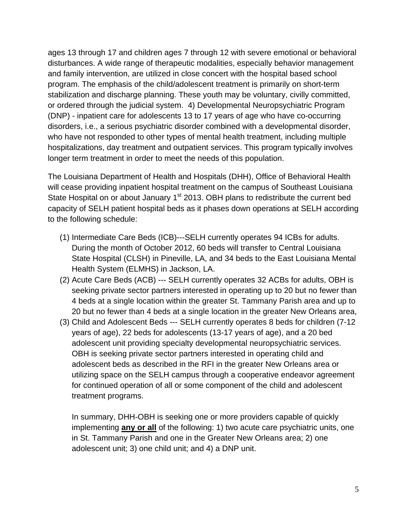ages 13 through 17 and children ages 7 through 12 with severe emotional or behavioral disturbances. A wide range of therapeutic modalities, especially behavior management and family intervention, are utilized in close concert with the hospital based school program. The emphasis of the child/adolescent treatment is primarily on short-term stabilization and discharge planning. These youth may be voluntary, civilly committed, or ordered through the judicial system. 4) Developmental Neuropsychiatric Program (DNP) - inpatient care for adolescents 13 to 17 years of age who have co-occurring disorders, i.e., a serious psychiatric disorder combined with a developmental disorder, who have not responded to other types of mental health treatment, including multiple hospitalizations, day treatment and outpatient services. This program typically involves longer term treatment in order to meet the needs of this population.

The Louisiana Department of Health and Hospitals (DHH), Office of Behavioral Health will cease providing inpatient hospital treatment on the campus of Southeast Louisiana State Hospital on or about January  $1<sup>st</sup>$  2013. OBH plans to redistribute the current bed capacity of SELH patient hospital beds as it phases down operations at SELH according to the following schedule:

- (1) Intermediate Care Beds (ICB)---SELH currently operates 94 ICBs for adults. During the month of October 2012, 60 beds will transfer to Central Louisiana State Hospital (CLSH) in Pineville, LA, and 34 beds to the East Louisiana Mental Health System (ELMHS) in Jackson, LA.
- (2) Acute Care Beds (ACB) --- SELH currently operates 32 ACBs for adults, OBH is seeking private sector partners interested in operating up to 20 but no fewer than 4 beds at a single location within the greater St. Tammany Parish area and up to 20 but no fewer than 4 beds at a single location in the greater New Orleans area,
- (3) Child and Adolescent Beds --- SELH currently operates 8 beds for children (7-12 years of age), 22 beds for adolescents (13-17 years of age), and a 20 bed adolescent unit providing specialty developmental neuropsychiatric services. OBH is seeking private sector partners interested in operating child and adolescent beds as described in the RFI in the greater New Orleans area or utilizing space on the SELH campus through a cooperative endeavor agreement for continued operation of all or some component of the child and adolescent treatment programs.

In summary, DHH-OBH is seeking one or more providers capable of quickly implementing **any or all** of the following: 1) two acute care psychiatric units, one in St. Tammany Parish and one in the Greater New Orleans area; 2) one adolescent unit; 3) one child unit; and 4) a DNP unit.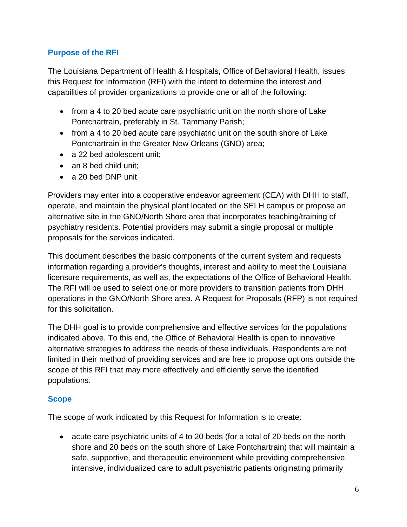## **Purpose of the RFI**

The Louisiana Department of Health & Hospitals, Office of Behavioral Health, issues this Request for Information (RFI) with the intent to determine the interest and capabilities of provider organizations to provide one or all of the following:

- from a 4 to 20 bed acute care psychiatric unit on the north shore of Lake Pontchartrain, preferably in St. Tammany Parish;
- from a 4 to 20 bed acute care psychiatric unit on the south shore of Lake Pontchartrain in the Greater New Orleans (GNO) area;
- a 22 bed adolescent unit:
- an 8 bed child unit;
- a 20 bed DNP unit

Providers may enter into a cooperative endeavor agreement (CEA) with DHH to staff, operate, and maintain the physical plant located on the SELH campus or propose an alternative site in the GNO/North Shore area that incorporates teaching/training of psychiatry residents. Potential providers may submit a single proposal or multiple proposals for the services indicated.

This document describes the basic components of the current system and requests information regarding a provider's thoughts, interest and ability to meet the Louisiana licensure requirements, as well as, the expectations of the Office of Behavioral Health. The RFI will be used to select one or more providers to transition patients from DHH operations in the GNO/North Shore area. A Request for Proposals (RFP) is not required for this solicitation.

The DHH goal is to provide comprehensive and effective services for the populations indicated above. To this end, the Office of Behavioral Health is open to innovative alternative strategies to address the needs of these individuals. Respondents are not limited in their method of providing services and are free to propose options outside the scope of this RFI that may more effectively and efficiently serve the identified populations.

### **Scope**

The scope of work indicated by this Request for Information is to create:

 acute care psychiatric units of 4 to 20 beds (for a total of 20 beds on the north shore and 20 beds on the south shore of Lake Pontchartrain) that will maintain a safe, supportive, and therapeutic environment while providing comprehensive, intensive, individualized care to adult psychiatric patients originating primarily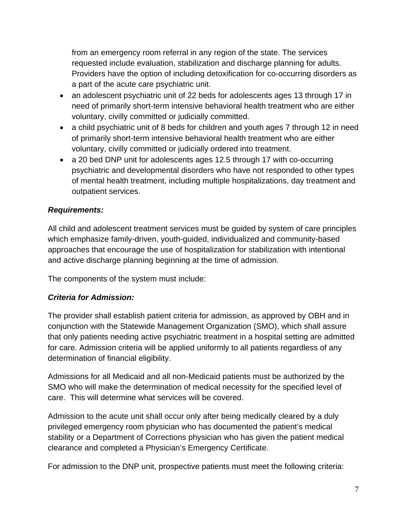from an emergency room referral in any region of the state. The services requested include evaluation, stabilization and discharge planning for adults. Providers have the option of including detoxification for co-occurring disorders as a part of the acute care psychiatric unit.

- an adolescent psychiatric unit of 22 beds for adolescents ages 13 through 17 in need of primarily short-term intensive behavioral health treatment who are either voluntary, civilly committed or judicially committed.
- a child psychiatric unit of 8 beds for children and youth ages 7 through 12 in need of primarily short-term intensive behavioral health treatment who are either voluntary, civilly committed or judicially ordered into treatment.
- a 20 bed DNP unit for adolescents ages 12.5 through 17 with co-occurring psychiatric and developmental disorders who have not responded to other types of mental health treatment, including multiple hospitalizations, day treatment and outpatient services.

## *Requirements:*

All child and adolescent treatment services must be guided by system of care principles which emphasize family-driven, youth-guided, individualized and community-based approaches that encourage the use of hospitalization for stabilization with intentional and active discharge planning beginning at the time of admission.

The components of the system must include:

### *Criteria for Admission:*

The provider shall establish patient criteria for admission, as approved by OBH and in conjunction with the Statewide Management Organization (SMO), which shall assure that only patients needing active psychiatric treatment in a hospital setting are admitted for care. Admission criteria will be applied uniformly to all patients regardless of any determination of financial eligibility.

Admissions for all Medicaid and all non-Medicaid patients must be authorized by the SMO who will make the determination of medical necessity for the specified level of care. This will determine what services will be covered.

Admission to the acute unit shall occur only after being medically cleared by a duly privileged emergency room physician who has documented the patient's medical stability or a Department of Corrections physician who has given the patient medical clearance and completed a Physician's Emergency Certificate.

For admission to the DNP unit, prospective patients must meet the following criteria: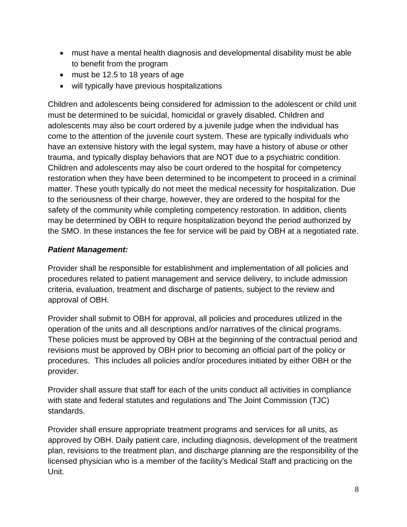- must have a mental health diagnosis and developmental disability must be able to benefit from the program
- must be 12.5 to 18 years of age
- will typically have previous hospitalizations

Children and adolescents being considered for admission to the adolescent or child unit must be determined to be suicidal, homicidal or gravely disabled. Children and adolescents may also be court ordered by a juvenile judge when the individual has come to the attention of the juvenile court system. These are typically individuals who have an extensive history with the legal system, may have a history of abuse or other trauma, and typically display behaviors that are NOT due to a psychiatric condition. Children and adolescents may also be court ordered to the hospital for competency restoration when they have been determined to be incompetent to proceed in a criminal matter. These youth typically do not meet the medical necessity for hospitalization. Due to the seriousness of their charge, however, they are ordered to the hospital for the safety of the community while completing competency restoration. In addition, clients may be determined by OBH to require hospitalization beyond the period authorized by the SMO. In these instances the fee for service will be paid by OBH at a negotiated rate.

### *Patient Management:*

Provider shall be responsible for establishment and implementation of all policies and procedures related to patient management and service delivery, to include admission criteria, evaluation, treatment and discharge of patients, subject to the review and approval of OBH.

Provider shall submit to OBH for approval, all policies and procedures utilized in the operation of the units and all descriptions and/or narratives of the clinical programs. These policies must be approved by OBH at the beginning of the contractual period and revisions must be approved by OBH prior to becoming an official part of the policy or procedures. This includes all policies and/or procedures initiated by either OBH or the provider.

Provider shall assure that staff for each of the units conduct all activities in compliance with state and federal statutes and regulations and The Joint Commission (TJC) standards.

Provider shall ensure appropriate treatment programs and services for all units, as approved by OBH. Daily patient care, including diagnosis, development of the treatment plan, revisions to the treatment plan, and discharge planning are the responsibility of the licensed physician who is a member of the facility's Medical Staff and practicing on the Unit.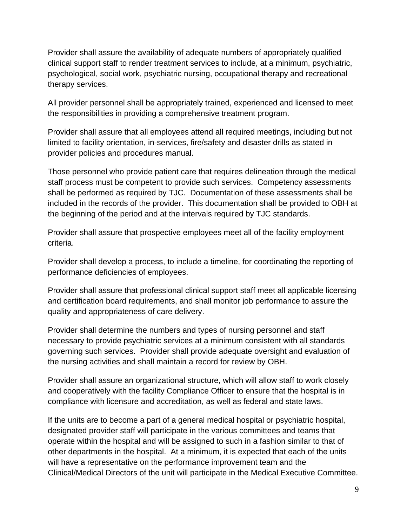Provider shall assure the availability of adequate numbers of appropriately qualified clinical support staff to render treatment services to include, at a minimum, psychiatric, psychological, social work, psychiatric nursing, occupational therapy and recreational therapy services.

All provider personnel shall be appropriately trained, experienced and licensed to meet the responsibilities in providing a comprehensive treatment program.

Provider shall assure that all employees attend all required meetings, including but not limited to facility orientation, in-services, fire/safety and disaster drills as stated in provider policies and procedures manual.

Those personnel who provide patient care that requires delineation through the medical staff process must be competent to provide such services. Competency assessments shall be performed as required by TJC. Documentation of these assessments shall be included in the records of the provider. This documentation shall be provided to OBH at the beginning of the period and at the intervals required by TJC standards.

Provider shall assure that prospective employees meet all of the facility employment criteria.

Provider shall develop a process, to include a timeline, for coordinating the reporting of performance deficiencies of employees.

Provider shall assure that professional clinical support staff meet all applicable licensing and certification board requirements, and shall monitor job performance to assure the quality and appropriateness of care delivery.

Provider shall determine the numbers and types of nursing personnel and staff necessary to provide psychiatric services at a minimum consistent with all standards governing such services. Provider shall provide adequate oversight and evaluation of the nursing activities and shall maintain a record for review by OBH.

Provider shall assure an organizational structure, which will allow staff to work closely and cooperatively with the facility Compliance Officer to ensure that the hospital is in compliance with licensure and accreditation, as well as federal and state laws.

If the units are to become a part of a general medical hospital or psychiatric hospital, designated provider staff will participate in the various committees and teams that operate within the hospital and will be assigned to such in a fashion similar to that of other departments in the hospital. At a minimum, it is expected that each of the units will have a representative on the performance improvement team and the Clinical/Medical Directors of the unit will participate in the Medical Executive Committee.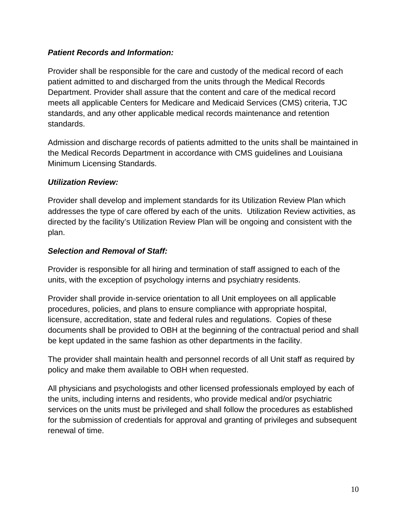## *Patient Records and Information:*

Provider shall be responsible for the care and custody of the medical record of each patient admitted to and discharged from the units through the Medical Records Department. Provider shall assure that the content and care of the medical record meets all applicable Centers for Medicare and Medicaid Services (CMS) criteria, TJC standards, and any other applicable medical records maintenance and retention standards.

Admission and discharge records of patients admitted to the units shall be maintained in the Medical Records Department in accordance with CMS guidelines and Louisiana Minimum Licensing Standards.

## *Utilization Review:*

Provider shall develop and implement standards for its Utilization Review Plan which addresses the type of care offered by each of the units. Utilization Review activities, as directed by the facility's Utilization Review Plan will be ongoing and consistent with the plan.

## *Selection and Removal of Staff:*

Provider is responsible for all hiring and termination of staff assigned to each of the units, with the exception of psychology interns and psychiatry residents.

Provider shall provide in-service orientation to all Unit employees on all applicable procedures, policies, and plans to ensure compliance with appropriate hospital, licensure, accreditation, state and federal rules and regulations. Copies of these documents shall be provided to OBH at the beginning of the contractual period and shall be kept updated in the same fashion as other departments in the facility.

The provider shall maintain health and personnel records of all Unit staff as required by policy and make them available to OBH when requested.

All physicians and psychologists and other licensed professionals employed by each of the units, including interns and residents, who provide medical and/or psychiatric services on the units must be privileged and shall follow the procedures as established for the submission of credentials for approval and granting of privileges and subsequent renewal of time.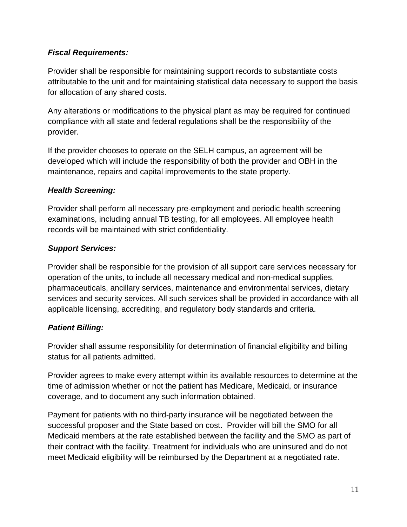## *Fiscal Requirements:*

Provider shall be responsible for maintaining support records to substantiate costs attributable to the unit and for maintaining statistical data necessary to support the basis for allocation of any shared costs.

Any alterations or modifications to the physical plant as may be required for continued compliance with all state and federal regulations shall be the responsibility of the provider.

If the provider chooses to operate on the SELH campus, an agreement will be developed which will include the responsibility of both the provider and OBH in the maintenance, repairs and capital improvements to the state property.

## *Health Screening:*

Provider shall perform all necessary pre-employment and periodic health screening examinations, including annual TB testing, for all employees. All employee health records will be maintained with strict confidentiality.

## *Support Services:*

Provider shall be responsible for the provision of all support care services necessary for operation of the units, to include all necessary medical and non-medical supplies, pharmaceuticals, ancillary services, maintenance and environmental services, dietary services and security services. All such services shall be provided in accordance with all applicable licensing, accrediting, and regulatory body standards and criteria.

## *Patient Billing:*

Provider shall assume responsibility for determination of financial eligibility and billing status for all patients admitted.

Provider agrees to make every attempt within its available resources to determine at the time of admission whether or not the patient has Medicare, Medicaid, or insurance coverage, and to document any such information obtained.

Payment for patients with no third-party insurance will be negotiated between the successful proposer and the State based on cost. Provider will bill the SMO for all Medicaid members at the rate established between the facility and the SMO as part of their contract with the facility. Treatment for individuals who are uninsured and do not meet Medicaid eligibility will be reimbursed by the Department at a negotiated rate.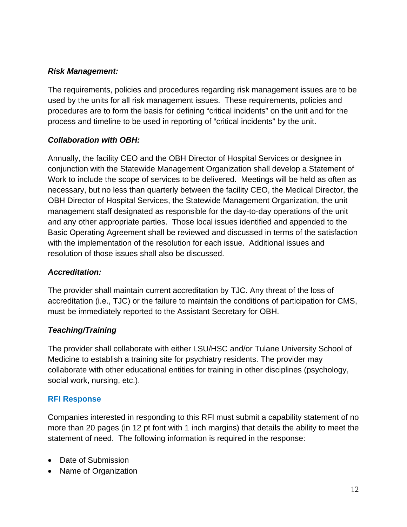### *Risk Management:*

The requirements, policies and procedures regarding risk management issues are to be used by the units for all risk management issues. These requirements, policies and procedures are to form the basis for defining "critical incidents" on the unit and for the process and timeline to be used in reporting of "critical incidents" by the unit.

## *Collaboration with OBH:*

Annually, the facility CEO and the OBH Director of Hospital Services or designee in conjunction with the Statewide Management Organization shall develop a Statement of Work to include the scope of services to be delivered. Meetings will be held as often as necessary, but no less than quarterly between the facility CEO, the Medical Director, the OBH Director of Hospital Services, the Statewide Management Organization, the unit management staff designated as responsible for the day-to-day operations of the unit and any other appropriate parties. Those local issues identified and appended to the Basic Operating Agreement shall be reviewed and discussed in terms of the satisfaction with the implementation of the resolution for each issue. Additional issues and resolution of those issues shall also be discussed.

### *Accreditation:*

The provider shall maintain current accreditation by TJC. Any threat of the loss of accreditation (i.e., TJC) or the failure to maintain the conditions of participation for CMS, must be immediately reported to the Assistant Secretary for OBH.

## *Teaching/Training*

The provider shall collaborate with either LSU/HSC and/or Tulane University School of Medicine to establish a training site for psychiatry residents. The provider may collaborate with other educational entities for training in other disciplines (psychology, social work, nursing, etc.).

### **RFI Response**

Companies interested in responding to this RFI must submit a capability statement of no more than 20 pages (in 12 pt font with 1 inch margins) that details the ability to meet the statement of need. The following information is required in the response:

- Date of Submission
- Name of Organization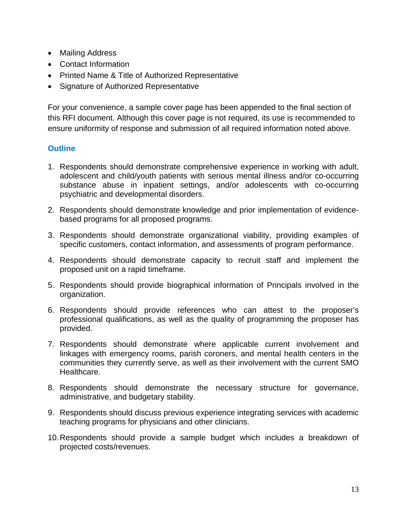- Mailing Address
- Contact Information
- Printed Name & Title of Authorized Representative
- Signature of Authorized Representative

For your convenience, a sample cover page has been appended to the final section of this RFI document. Although this cover page is not required, its use is recommended to ensure uniformity of response and submission of all required information noted above.

### **Outline**

- 1. Respondents should demonstrate comprehensive experience in working with adult, adolescent and child/youth patients with serious mental illness and/or co-occurring substance abuse in inpatient settings, and/or adolescents with co-occurring psychiatric and developmental disorders.
- 2. Respondents should demonstrate knowledge and prior implementation of evidencebased programs for all proposed programs.
- 3. Respondents should demonstrate organizational viability, providing examples of specific customers, contact information, and assessments of program performance.
- 4. Respondents should demonstrate capacity to recruit staff and implement the proposed unit on a rapid timeframe.
- 5. Respondents should provide biographical information of Principals involved in the organization.
- 6. Respondents should provide references who can attest to the proposer's professional qualifications, as well as the quality of programming the proposer has provided.
- 7. Respondents should demonstrate where applicable current involvement and linkages with emergency rooms, parish coroners, and mental health centers in the communities they currently serve, as well as their involvement with the current SMO Healthcare.
- 8. Respondents should demonstrate the necessary structure for governance, administrative, and budgetary stability.
- 9. Respondents should discuss previous experience integrating services with academic teaching programs for physicians and other clinicians.
- 10. Respondents should provide a sample budget which includes a breakdown of projected costs/revenues.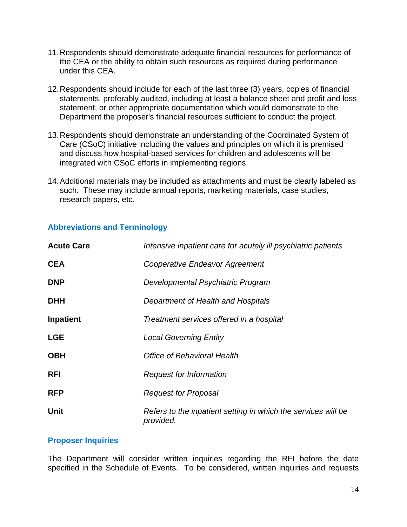- 11. Respondents should demonstrate adequate financial resources for performance of the CEA or the ability to obtain such resources as required during performance under this CEA.
- 12. Respondents should include for each of the last three (3) years, copies of financial statements, preferably audited, including at least a balance sheet and profit and loss statement, or other appropriate documentation which would demonstrate to the Department the proposer's financial resources sufficient to conduct the project.
- 13. Respondents should demonstrate an understanding of the Coordinated System of Care (CSoC) initiative including the values and principles on which it is premised and discuss how hospital-based services for children and adolescents will be integrated with CSoC efforts in implementing regions.
- 14. Additional materials may be included as attachments and must be clearly labeled as such. These may include annual reports, marketing materials, case studies, research papers, etc.

| <b>Acute Care</b> | Intensive inpatient care for acutely ill psychiatric patients              |
|-------------------|----------------------------------------------------------------------------|
| <b>CEA</b>        | Cooperative Endeavor Agreement                                             |
| <b>DNP</b>        | Developmental Psychiatric Program                                          |
| <b>DHH</b>        | Department of Health and Hospitals                                         |
| <b>Inpatient</b>  | Treatment services offered in a hospital                                   |
| <b>LGE</b>        | <b>Local Governing Entity</b>                                              |
| <b>OBH</b>        | <b>Office of Behavioral Health</b>                                         |
| <b>RFI</b>        | <b>Request for Information</b>                                             |
| <b>RFP</b>        | <b>Request for Proposal</b>                                                |
| Unit              | Refers to the inpatient setting in which the services will be<br>provided. |

## **Abbreviations and Terminology**

### **Proposer Inquiries**

The Department will consider written inquiries regarding the RFI before the date specified in the Schedule of Events. To be considered, written inquiries and requests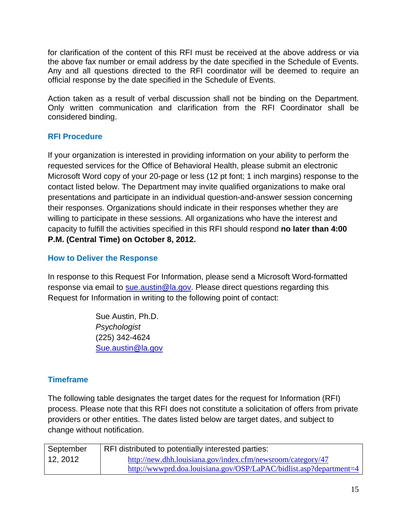for clarification of the content of this RFI must be received at the above address or via the above fax number or email address by the date specified in the Schedule of Events. Any and all questions directed to the RFI coordinator will be deemed to require an official response by the date specified in the Schedule of Events.

Action taken as a result of verbal discussion shall not be binding on the Department. Only written communication and clarification from the RFI Coordinator shall be considered binding.

## **RFI Procedure**

If your organization is interested in providing information on your ability to perform the requested services for the Office of Behavioral Health, please submit an electronic Microsoft Word copy of your 20-page or less (12 pt font; 1 inch margins) response to the contact listed below. The Department may invite qualified organizations to make oral presentations and participate in an individual question-and-answer session concerning their responses. Organizations should indicate in their responses whether they are willing to participate in these sessions. All organizations who have the interest and capacity to fulfill the activities specified in this RFI should respond **no later than 4:00 P.M. (Central Time) on October 8, 2012.** 

## **How to Deliver the Response**

In response to this Request For Information, please send a Microsoft Word-formatted response via email to sue austin@la.gov. Please direct questions regarding this Request for Information in writing to the following point of contact:

> Sue Austin, Ph.D. *Psychologist*  (225) 342-4624 Sue.austin@la.gov

## **Timeframe**

The following table designates the target dates for the request for Information (RFI) process. Please note that this RFI does not constitute a solicitation of offers from private providers or other entities. The dates listed below are target dates, and subject to change without notification.

| September | RFI distributed to potentially interested parties:                  |
|-----------|---------------------------------------------------------------------|
| 12, 2012  | http://new.dhh.louisiana.gov/index.cfm/newsroom/category/47         |
|           | http://www.prd.doa.louisiana.gov/OSP/LaPAC/bidlist.asp?department=4 |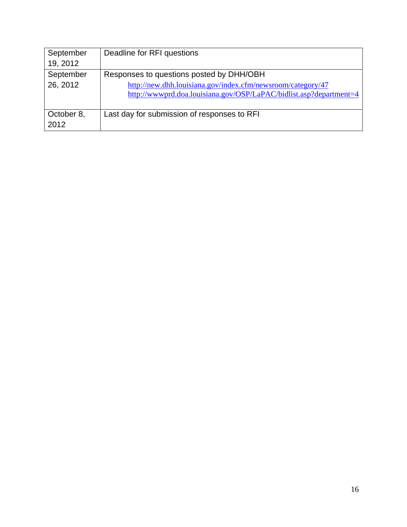| September<br>19, 2012 | Deadline for RFI questions                                                                                                        |
|-----------------------|-----------------------------------------------------------------------------------------------------------------------------------|
| September             | Responses to questions posted by DHH/OBH                                                                                          |
| 26, 2012              | http://new.dhh.louisiana.gov/index.cfm/newsroom/category/47<br>http://wwwprd.doa.louisiana.gov/OSP/LaPAC/bidlist.asp?department=4 |
| October 8,<br>2012    | Last day for submission of responses to RFI                                                                                       |